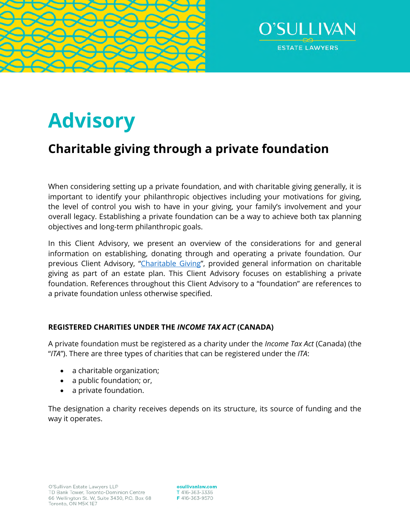



# **Advisory**

# **Charitable giving through a private foundation**

When considering setting up a private foundation, and with charitable giving generally, it is important to identify your philanthropic objectives including your motivations for giving, the level of control you wish to have in your giving, your family's involvement and your overall legacy. Establishing a private foundation can be a way to achieve both tax planning objectives and long-term philanthropic goals.

In this Client Advisory, we present an overview of the considerations for and general information on establishing, donating through and operating a private foundation. Our previous Client Advisory, ["Charitable Giving"](https://www.osullivanlaw.com/wp-content/uploads/2020/02/Chairitable-Giving.pdf), provided general information on charitable giving as part of an estate plan. This Client Advisory focuses on establishing a private foundation. References throughout this Client Advisory to a "foundation" are references to a private foundation unless otherwise specified.

# **REGISTERED CHARITIES UNDER THE** *INCOME TAX ACT* **(CANADA)**

A private foundation must be registered as a charity under the *Income Tax Act* (Canada) (the "*ITA*"). There are three types of charities that can be registered under the *ITA*:

- a charitable organization;
- a public foundation; or,
- a private foundation.

The designation a charity receives depends on its structure, its source of funding and the way it operates.

osullivanlaw.com T 416-363-3336 F 416-363-9570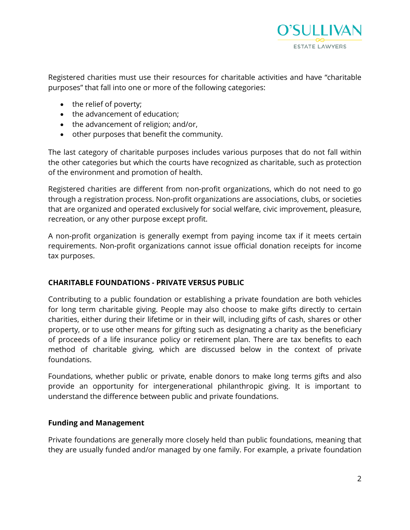

Registered charities must use their resources for charitable activities and have "charitable purposes" that fall into one or more of the following categories:

- the relief of poverty;
- the advancement of education;
- the advancement of religion; and/or,
- other purposes that benefit the community.

The last category of charitable purposes includes various purposes that do not fall within the other categories but which the courts have recognized as charitable, such as protection of the environment and promotion of health.

Registered charities are different from non-profit organizations, which do not need to go through a registration process. Non-profit organizations are associations, clubs, or societies that are organized and operated exclusively for social welfare, civic improvement, pleasure, recreation, or any other purpose except profit.

A non-profit organization is generally exempt from paying income tax if it meets certain requirements. Non-profit organizations cannot issue official donation receipts for income tax purposes.

#### **CHARITABLE FOUNDATIONS - PRIVATE VERSUS PUBLIC**

Contributing to a public foundation or establishing a private foundation are both vehicles for long term charitable giving. People may also choose to make gifts directly to certain charities, either during their lifetime or in their will, including gifts of cash, shares or other property, or to use other means for gifting such as designating a charity as the beneficiary of proceeds of a life insurance policy or retirement plan. There are tax benefits to each method of charitable giving, which are discussed below in the context of private foundations.

Foundations, whether public or private, enable donors to make long terms gifts and also provide an opportunity for intergenerational philanthropic giving. It is important to understand the difference between public and private foundations.

#### **Funding and Management**

Private foundations are generally more closely held than public foundations, meaning that they are usually funded and/or managed by one family. For example, a private foundation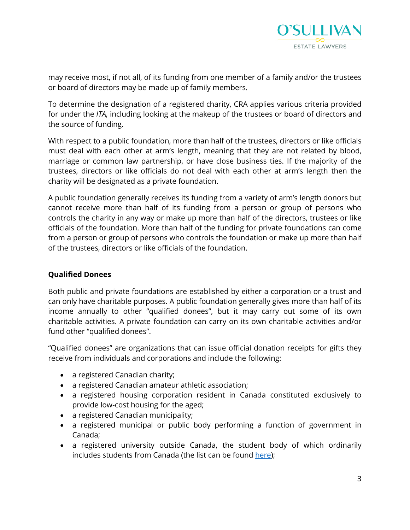

may receive most, if not all, of its funding from one member of a family and/or the trustees or board of directors may be made up of family members.

To determine the designation of a registered charity, CRA applies various criteria provided for under the *ITA*, including looking at the makeup of the trustees or board of directors and the source of funding.

With respect to a public foundation, more than half of the trustees, directors or like officials must deal with each other at arm's length, meaning that they are not related by blood, marriage or common law partnership, or have close business ties. If the majority of the trustees, directors or like officials do not deal with each other at arm's length then the charity will be designated as a private foundation.

A public foundation generally receives its funding from a variety of arm's length donors but cannot receive more than half of its funding from a person or group of persons who controls the charity in any way or make up more than half of the directors, trustees or like officials of the foundation. More than half of the funding for private foundations can come from a person or group of persons who controls the foundation or make up more than half of the trustees, directors or like officials of the foundation.

#### **Qualified Donees**

Both public and private foundations are established by either a corporation or a trust and can only have charitable purposes. A public foundation generally gives more than half of its income annually to other "qualified donees", but it may carry out some of its own charitable activities. A private foundation can carry on its own charitable activities and/or fund other "qualified donees".

"Qualified donees" are organizations that can issue official donation receipts for gifts they receive from individuals and corporations and include the following:

- a registered Canadian charity;
- a registered Canadian amateur athletic association;
- a registered housing corporation resident in Canada constituted exclusively to provide low-cost housing for the aged;
- a registered Canadian municipality;
- a registered municipal or public body performing a function of government in Canada;
- a registered university outside Canada, the student body of which ordinarily includes students from Canada (the list can be found [here\)](https://www.canada.ca/en/revenue-agency/services/charities-giving/other-organizations-that-issue-donation-receipts-qualified-donees/other-qualified-donees-listings/list-prescribed-universities-outside-canada.html);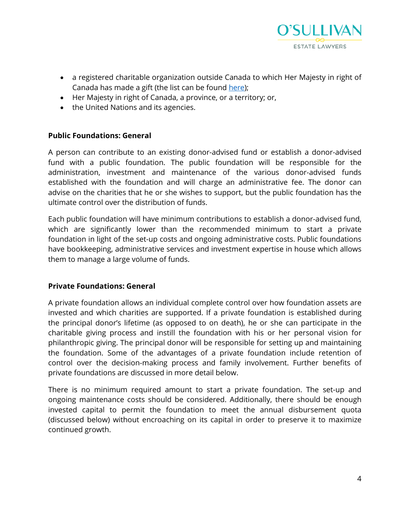

- a registered charitable organization outside Canada to which Her Majesty in right of Canada has made a gift (the list can be found [here](https://www.canada.ca/en/revenue-agency/services/charities-giving/other-organizations-that-issue-donation-receipts-qualified-donees/other-qualified-donees-listings/list-foreign-charities-that-have-received-a-gift-majesty-right-canada.html));
- Her Majesty in right of Canada, a province, or a territory; or,
- the United Nations and its agencies.

#### **Public Foundations: General**

A person can contribute to an existing donor-advised fund or establish a donor-advised fund with a public foundation. The public foundation will be responsible for the administration, investment and maintenance of the various donor-advised funds established with the foundation and will charge an administrative fee. The donor can advise on the charities that he or she wishes to support, but the public foundation has the ultimate control over the distribution of funds.

Each public foundation will have minimum contributions to establish a donor-advised fund, which are significantly lower than the recommended minimum to start a private foundation in light of the set-up costs and ongoing administrative costs. Public foundations have bookkeeping, administrative services and investment expertise in house which allows them to manage a large volume of funds.

#### **Private Foundations: General**

A private foundation allows an individual complete control over how foundation assets are invested and which charities are supported. If a private foundation is established during the principal donor's lifetime (as opposed to on death), he or she can participate in the charitable giving process and instill the foundation with his or her personal vision for philanthropic giving. The principal donor will be responsible for setting up and maintaining the foundation. Some of the advantages of a private foundation include retention of control over the decision-making process and family involvement. Further benefits of private foundations are discussed in more detail below.

There is no minimum required amount to start a private foundation. The set-up and ongoing maintenance costs should be considered. Additionally, there should be enough invested capital to permit the foundation to meet the annual disbursement quota (discussed below) without encroaching on its capital in order to preserve it to maximize continued growth.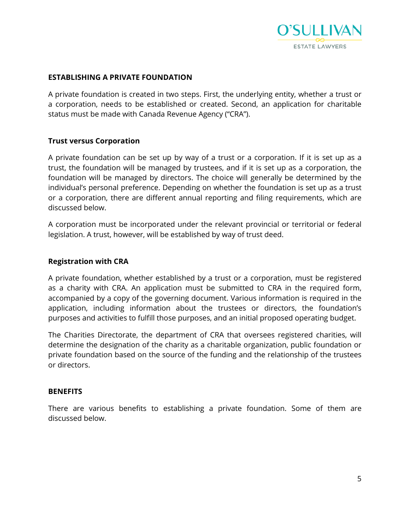

#### **ESTABLISHING A PRIVATE FOUNDATION**

A private foundation is created in two steps. First, the underlying entity, whether a trust or a corporation, needs to be established or created. Second, an application for charitable status must be made with Canada Revenue Agency ("CRA").

#### **Trust versus Corporation**

A private foundation can be set up by way of a trust or a corporation. If it is set up as a trust, the foundation will be managed by trustees, and if it is set up as a corporation, the foundation will be managed by directors. The choice will generally be determined by the individual's personal preference. Depending on whether the foundation is set up as a trust or a corporation, there are different annual reporting and filing requirements, which are discussed below.

A corporation must be incorporated under the relevant provincial or territorial or federal legislation. A trust, however, will be established by way of trust deed.

#### **Registration with CRA**

A private foundation, whether established by a trust or a corporation, must be registered as a charity with CRA. An application must be submitted to CRA in the required form, accompanied by a copy of the governing document. Various information is required in the application, including information about the trustees or directors, the foundation's purposes and activities to fulfill those purposes, and an initial proposed operating budget.

The Charities Directorate, the department of CRA that oversees registered charities, will determine the designation of the charity as a charitable organization, public foundation or private foundation based on the source of the funding and the relationship of the trustees or directors.

#### **BENEFITS**

There are various benefits to establishing a private foundation. Some of them are discussed below.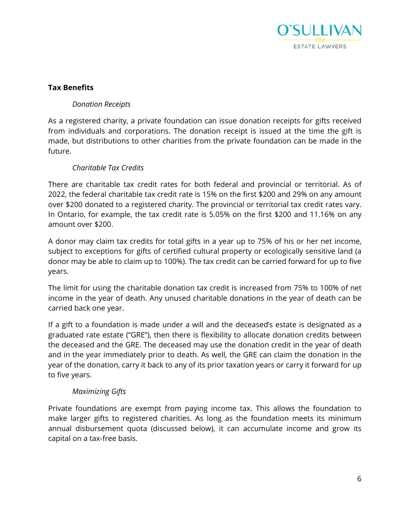

# **Tax Benefits**

# *Donation Receipts*

As a registered charity, a private foundation can issue donation receipts for gifts received from individuals and corporations. The donation receipt is issued at the time the gift is made, but distributions to other charities from the private foundation can be made in the future.

# *Charitable Tax Credits*

There are charitable tax credit rates for both federal and provincial or territorial. As of 2022, the federal charitable tax credit rate is 15% on the first \$200 and 29% on any amount over \$200 donated to a registered charity. The provincial or territorial tax credit rates vary. In Ontario, for example, the tax credit rate is 5.05% on the first \$200 and 11.16% on any amount over \$200.

A donor may claim tax credits for total gifts in a year up to 75% of his or her net income, subject to exceptions for gifts of certified cultural property or ecologically sensitive land (a donor may be able to claim up to 100%). The tax credit can be carried forward for up to five years.

The limit for using the charitable donation tax credit is increased from 75% to 100% of net income in the year of death. Any unused charitable donations in the year of death can be carried back one year.

If a gift to a foundation is made under a will and the deceased's estate is designated as a graduated rate estate ("GRE"), then there is flexibility to allocate donation credits between the deceased and the GRE. The deceased may use the donation credit in the year of death and in the year immediately prior to death. As well, the GRE can claim the donation in the year of the donation, carry it back to any of its prior taxation years or carry it forward for up to five years.

#### *Maximizing Gifts*

Private foundations are exempt from paying income tax. This allows the foundation to make larger gifts to registered charities. As long as the foundation meets its minimum annual disbursement quota (discussed below), it can accumulate income and grow its capital on a tax-free basis.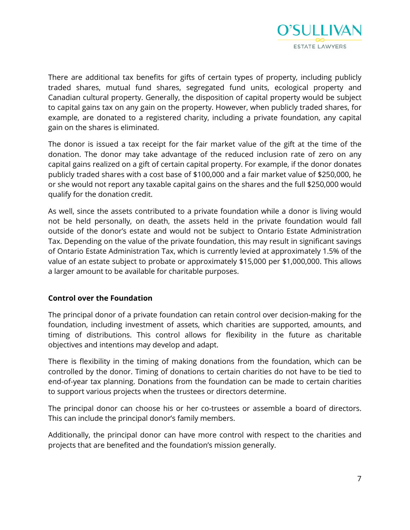

There are additional tax benefits for gifts of certain types of property, including publicly traded shares, mutual fund shares, segregated fund units, ecological property and Canadian cultural property. Generally, the disposition of capital property would be subject to capital gains tax on any gain on the property. However, when publicly traded shares, for example, are donated to a registered charity, including a private foundation, any capital gain on the shares is eliminated.

The donor is issued a tax receipt for the fair market value of the gift at the time of the donation. The donor may take advantage of the reduced inclusion rate of zero on any capital gains realized on a gift of certain capital property. For example, if the donor donates publicly traded shares with a cost base of \$100,000 and a fair market value of \$250,000, he or she would not report any taxable capital gains on the shares and the full \$250,000 would qualify for the donation credit.

As well, since the assets contributed to a private foundation while a donor is living would not be held personally, on death, the assets held in the private foundation would fall outside of the donor's estate and would not be subject to Ontario Estate Administration Tax. Depending on the value of the private foundation, this may result in significant savings of Ontario Estate Administration Tax, which is currently levied at approximately 1.5% of the value of an estate subject to probate or approximately \$15,000 per \$1,000,000. This allows a larger amount to be available for charitable purposes.

#### **Control over the Foundation**

The principal donor of a private foundation can retain control over decision-making for the foundation, including investment of assets, which charities are supported, amounts, and timing of distributions. This control allows for flexibility in the future as charitable objectives and intentions may develop and adapt.

There is flexibility in the timing of making donations from the foundation, which can be controlled by the donor. Timing of donations to certain charities do not have to be tied to end-of-year tax planning. Donations from the foundation can be made to certain charities to support various projects when the trustees or directors determine.

The principal donor can choose his or her co-trustees or assemble a board of directors. This can include the principal donor's family members.

Additionally, the principal donor can have more control with respect to the charities and projects that are benefited and the foundation's mission generally.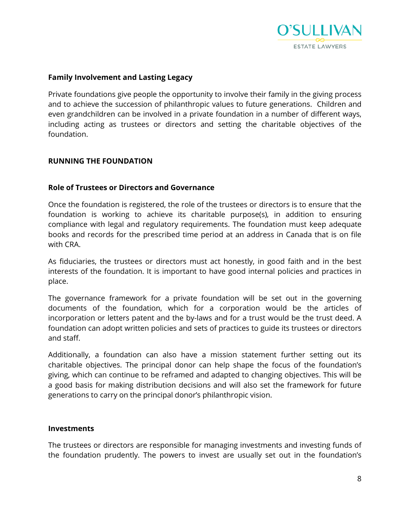

#### **Family Involvement and Lasting Legacy**

Private foundations give people the opportunity to involve their family in the giving process and to achieve the succession of philanthropic values to future generations. Children and even grandchildren can be involved in a private foundation in a number of different ways, including acting as trustees or directors and setting the charitable objectives of the foundation.

#### **RUNNING THE FOUNDATION**

#### **Role of Trustees or Directors and Governance**

Once the foundation is registered, the role of the trustees or directors is to ensure that the foundation is working to achieve its charitable purpose(s), in addition to ensuring compliance with legal and regulatory requirements. The foundation must keep adequate books and records for the prescribed time period at an address in Canada that is on file with CRA.

As fiduciaries, the trustees or directors must act honestly, in good faith and in the best interests of the foundation. It is important to have good internal policies and practices in place.

The governance framework for a private foundation will be set out in the governing documents of the foundation, which for a corporation would be the articles of incorporation or letters patent and the by-laws and for a trust would be the trust deed. A foundation can adopt written policies and sets of practices to guide its trustees or directors and staff.

Additionally, a foundation can also have a mission statement further setting out its charitable objectives. The principal donor can help shape the focus of the foundation's giving, which can continue to be reframed and adapted to changing objectives. This will be a good basis for making distribution decisions and will also set the framework for future generations to carry on the principal donor's philanthropic vision.

#### **Investments**

The trustees or directors are responsible for managing investments and investing funds of the foundation prudently. The powers to invest are usually set out in the foundation's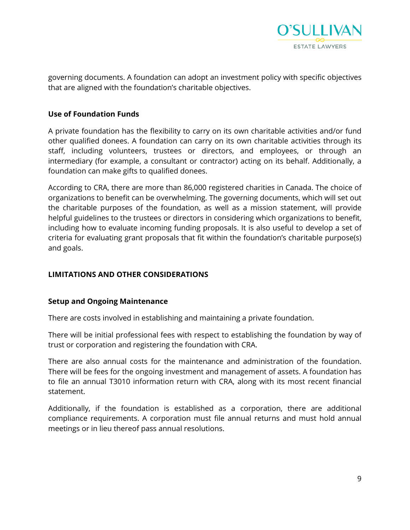

governing documents. A foundation can adopt an investment policy with specific objectives that are aligned with the foundation's charitable objectives.

#### **Use of Foundation Funds**

A private foundation has the flexibility to carry on its own charitable activities and/or fund other qualified donees. A foundation can carry on its own charitable activities through its staff, including volunteers, trustees or directors, and employees, or through an intermediary (for example, a consultant or contractor) acting on its behalf. Additionally, a foundation can make gifts to qualified donees.

According to CRA, there are more than 86,000 registered charities in Canada. The choice of organizations to benefit can be overwhelming. The governing documents, which will set out the charitable purposes of the foundation, as well as a mission statement, will provide helpful guidelines to the trustees or directors in considering which organizations to benefit, including how to evaluate incoming funding proposals. It is also useful to develop a set of criteria for evaluating grant proposals that fit within the foundation's charitable purpose(s) and goals.

#### **LIMITATIONS AND OTHER CONSIDERATIONS**

#### **Setup and Ongoing Maintenance**

There are costs involved in establishing and maintaining a private foundation.

There will be initial professional fees with respect to establishing the foundation by way of trust or corporation and registering the foundation with CRA.

There are also annual costs for the maintenance and administration of the foundation. There will be fees for the ongoing investment and management of assets. A foundation has to file an annual T3010 information return with CRA, along with its most recent financial statement.

Additionally, if the foundation is established as a corporation, there are additional compliance requirements. A corporation must file annual returns and must hold annual meetings or in lieu thereof pass annual resolutions.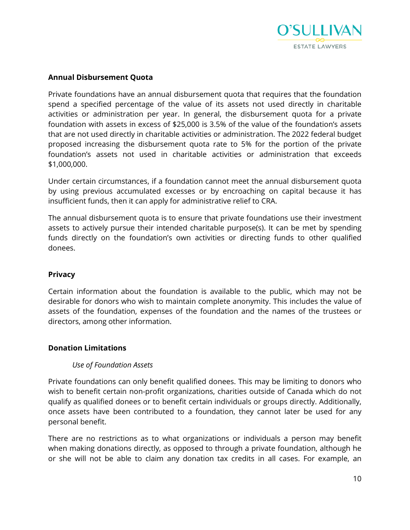

### **Annual Disbursement Quota**

Private foundations have an annual disbursement quota that requires that the foundation spend a specified percentage of the value of its assets not used directly in charitable activities or administration per year. In general, the disbursement quota for a private foundation with assets in excess of \$25,000 is 3.5% of the value of the foundation's assets that are not used directly in charitable activities or administration. The 2022 federal budget proposed increasing the disbursement quota rate to 5% for the portion of the private foundation's assets not used in charitable activities or administration that exceeds \$1,000,000.

Under certain circumstances, if a foundation cannot meet the annual disbursement quota by using previous accumulated excesses or by encroaching on capital because it has insufficient funds, then it can apply for administrative relief to CRA.

The annual disbursement quota is to ensure that private foundations use their investment assets to actively pursue their intended charitable purpose(s). It can be met by spending funds directly on the foundation's own activities or directing funds to other qualified donees.

#### **Privacy**

Certain information about the foundation is available to the public, which may not be desirable for donors who wish to maintain complete anonymity. This includes the value of assets of the foundation, expenses of the foundation and the names of the trustees or directors, among other information.

#### **Donation Limitations**

#### *Use of Foundation Assets*

Private foundations can only benefit qualified donees. This may be limiting to donors who wish to benefit certain non-profit organizations, charities outside of Canada which do not qualify as qualified donees or to benefit certain individuals or groups directly. Additionally, once assets have been contributed to a foundation, they cannot later be used for any personal benefit.

There are no restrictions as to what organizations or individuals a person may benefit when making donations directly, as opposed to through a private foundation, although he or she will not be able to claim any donation tax credits in all cases. For example, an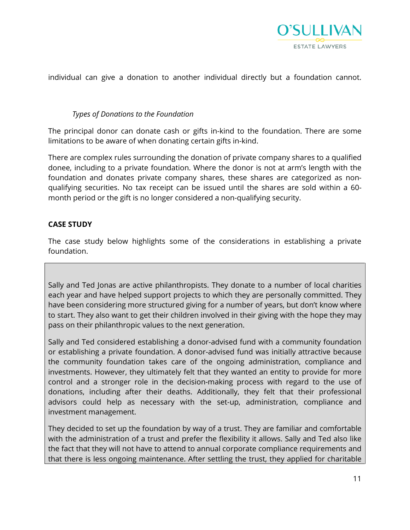

individual can give a donation to another individual directly but a foundation cannot.

#### *Types of Donations to the Foundation*

The principal donor can donate cash or gifts in-kind to the foundation. There are some limitations to be aware of when donating certain gifts in-kind.

There are complex rules surrounding the donation of private company shares to a qualified donee, including to a private foundation. Where the donor is not at arm's length with the foundation and donates private company shares, these shares are categorized as nonqualifying securities. No tax receipt can be issued until the shares are sold within a 60 month period or the gift is no longer considered a non-qualifying security.

#### **CASE STUDY**

The case study below highlights some of the considerations in establishing a private foundation.

Sally and Ted Jonas are active philanthropists. They donate to a number of local charities each year and have helped support projects to which they are personally committed. They have been considering more structured giving for a number of years, but don't know where to start. They also want to get their children involved in their giving with the hope they may pass on their philanthropic values to the next generation.

Sally and Ted considered establishing a donor-advised fund with a community foundation or establishing a private foundation. A donor-advised fund was initially attractive because the community foundation takes care of the ongoing administration, compliance and investments. However, they ultimately felt that they wanted an entity to provide for more control and a stronger role in the decision-making process with regard to the use of donations, including after their deaths. Additionally, they felt that their professional advisors could help as necessary with the set-up, administration, compliance and investment management.

They decided to set up the foundation by way of a trust. They are familiar and comfortable with the administration of a trust and prefer the flexibility it allows. Sally and Ted also like the fact that they will not have to attend to annual corporate compliance requirements and that there is less ongoing maintenance. After settling the trust, they applied for charitable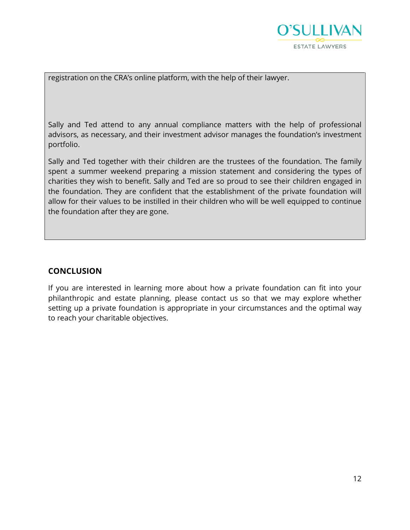

registration on the CRA's online platform, with the help of their lawyer.

Sally and Ted attend to any annual compliance matters with the help of professional advisors, as necessary, and their investment advisor manages the foundation's investment portfolio.

Sally and Ted together with their children are the trustees of the foundation. The family spent a summer weekend preparing a mission statement and considering the types of charities they wish to benefit. Sally and Ted are so proud to see their children engaged in the foundation. They are confident that the establishment of the private foundation will allow for their values to be instilled in their children who will be well equipped to continue the foundation after they are gone.

# **CONCLUSION**

If you are interested in learning more about how a private foundation can fit into your philanthropic and estate planning, please contact us so that we may explore whether setting up a private foundation is appropriate in your circumstances and the optimal way to reach your charitable objectives.